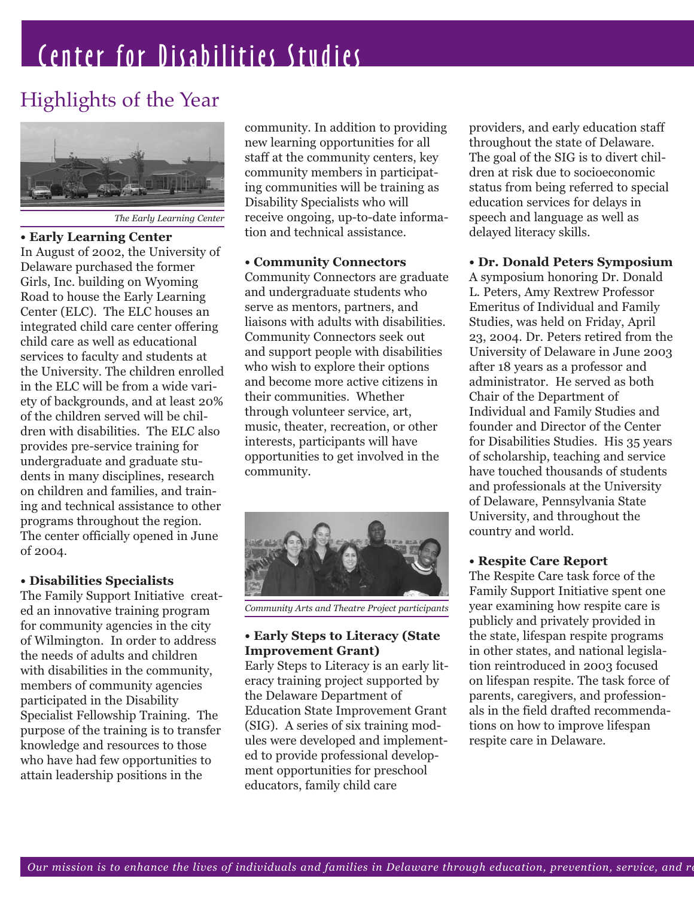## Center for Disabilities Studies

## Highlights of the Year



*The Early Learning Center*

#### **• Early Learning Center**

In August of 2002, the University of Delaware purchased the former Girls, Inc. building on Wyoming Road to house the Early Learning Center (ELC). The ELC houses an integrated child care center offering child care as well as educational services to faculty and students at the University. The children enrolled in the ELC will be from a wide variety of backgrounds, and at least 20% of the children served will be children with disabilities. The ELC also provides pre-service training for undergraduate and graduate students in many disciplines, research on children and families, and training and technical assistance to other programs throughout the region. The center officially opened in June of 2004.

#### **• Disabilities Specialists**

The Family Support Initiative created an innovative training program for community agencies in the city of Wilmington. In order to address the needs of adults and children with disabilities in the community, members of community agencies participated in the Disability Specialist Fellowship Training. The purpose of the training is to transfer knowledge and resources to those who have had few opportunities to attain leadership positions in the

community. In addition to providing new learning opportunities for all staff at the community centers, key community members in participating communities will be training as Disability Specialists who will receive ongoing, up-to-date information and technical assistance.

#### **• Community Connectors**

Community Connectors are graduate and undergraduate students who serve as mentors, partners, and liaisons with adults with disabilities. Community Connectors seek out and support people with disabilities who wish to explore their options and become more active citizens in their communities. Whether through volunteer service, art, music, theater, recreation, or other interests, participants will have opportunities to get involved in the community.



*Community Arts and Theatre Project participants*

#### **• Early Steps to Literacy (State Improvement Grant)**

Early Steps to Literacy is an early literacy training project supported by the Delaware Department of Education State Improvement Grant (SIG). A series of six training modules were developed and implemented to provide professional development opportunities for preschool educators, family child care

providers, and early education staff throughout the state of Delaware. The goal of the SIG is to divert children at risk due to socioeconomic status from being referred to special education services for delays in speech and language as well as delayed literacy skills.

#### **• Dr. Donald Peters Symposium**

A symposium honoring Dr. Donald L. Peters, Amy Rextrew Professor Emeritus of Individual and Family Studies, was held on Friday, April 23, 2004. Dr. Peters retired from the University of Delaware in June 2003 after 18 years as a professor and administrator. He served as both Chair of the Department of Individual and Family Studies and founder and Director of the Center for Disabilities Studies. His 35 years of scholarship, teaching and service have touched thousands of students and professionals at the University of Delaware, Pennsylvania State University, and throughout the country and world.

#### **• Respite Care Report**

The Respite Care task force of the Family Support Initiative spent one year examining how respite care is publicly and privately provided in the state, lifespan respite programs in other states, and national legislation reintroduced in 2003 focused on lifespan respite. The task force of parents, caregivers, and professionals in the field drafted recommendations on how to improve lifespan respite care in Delaware.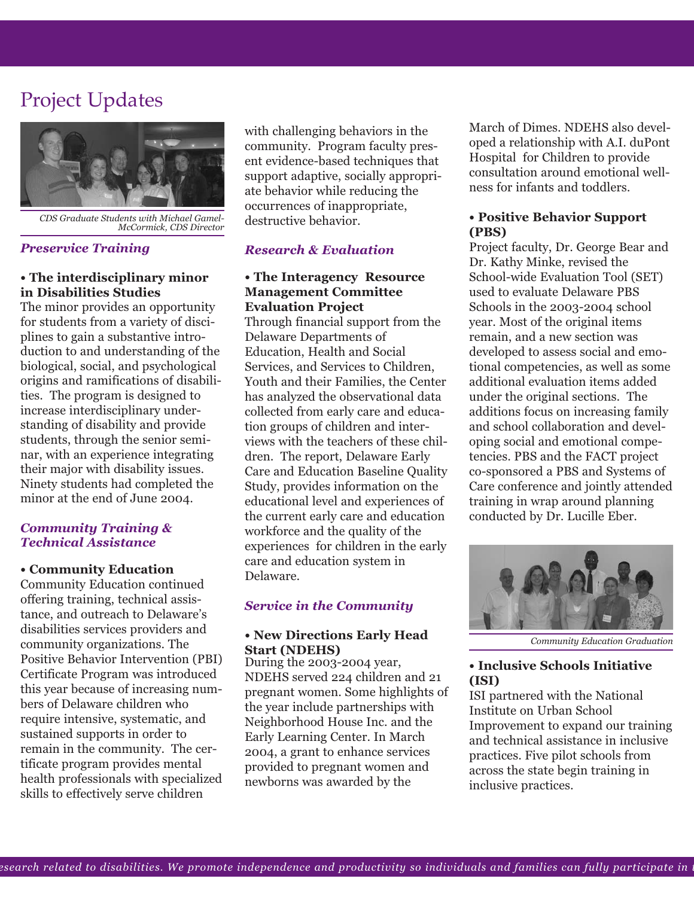### Project Updates



*CDS Graduate Students with Michael Gamel-McCormick, CDS Director*

#### *Preservice Training*

#### **• The interdisciplinary minor in Disabilities Studies**

The minor provides an opportunity for students from a variety of disciplines to gain a substantive introduction to and understanding of the biological, social, and psychological origins and ramifications of disabilities. The program is designed to increase interdisciplinary understanding of disability and provide students, through the senior seminar, with an experience integrating their major with disability issues. Ninety students had completed the minor at the end of June 2004.

#### *Community Training & Technical Assistance*

#### **• Community Education**

Community Education continued offering training, technical assistance, and outreach to Delaware's disabilities services providers and community organizations. The Positive Behavior Intervention (PBI) Certificate Program was introduced this year because of increasing numbers of Delaware children who require intensive, systematic, and sustained supports in order to remain in the community. The certificate program provides mental health professionals with specialized skills to effectively serve children

with challenging behaviors in the community. Program faculty present evidence-based techniques that support adaptive, socially appropriate behavior while reducing the occurrences of inappropriate, destructive behavior.

#### *Research & Evaluation*

#### **• The Interagency Resource Management Committee Evaluation Project**

Through financial support from the Delaware Departments of Education, Health and Social Services, and Services to Children, Youth and their Families, the Center has analyzed the observational data collected from early care and education groups of children and interviews with the teachers of these children. The report, Delaware Early Care and Education Baseline Quality Study, provides information on the educational level and experiences of the current early care and education workforce and the quality of the experiences for children in the early care and education system in Delaware.

#### *Service in the Community*

#### **• New Directions Early Head Start (NDEHS)**

During the 2003-2004 year, NDEHS served 224 children and 21 pregnant women. Some highlights of the year include partnerships with Neighborhood House Inc. and the Early Learning Center. In March 2004, a grant to enhance services provided to pregnant women and newborns was awarded by the

March of Dimes. NDEHS also developed a relationship with A.I. duPont Hospital for Children to provide consultation around emotional wellness for infants and toddlers.

#### **• Positive Behavior Support (PBS)**

Project faculty, Dr. George Bear and Dr. Kathy Minke, revised the School-wide Evaluation Tool (SET) used to evaluate Delaware PBS Schools in the 2003-2004 school year. Most of the original items remain, and a new section was developed to assess social and emotional competencies, as well as some additional evaluation items added under the original sections. The additions focus on increasing family and school collaboration and developing social and emotional competencies. PBS and the FACT project co-sponsored a PBS and Systems of Care conference and jointly attended training in wrap around planning conducted by Dr. Lucille Eber.



*Community Education Graduation* 

#### **• Inclusive Schools Initiative (ISI)**

ISI partnered with the National Institute on Urban School Improvement to expand our training and technical assistance in inclusive practices. Five pilot schools from across the state begin training in inclusive practices.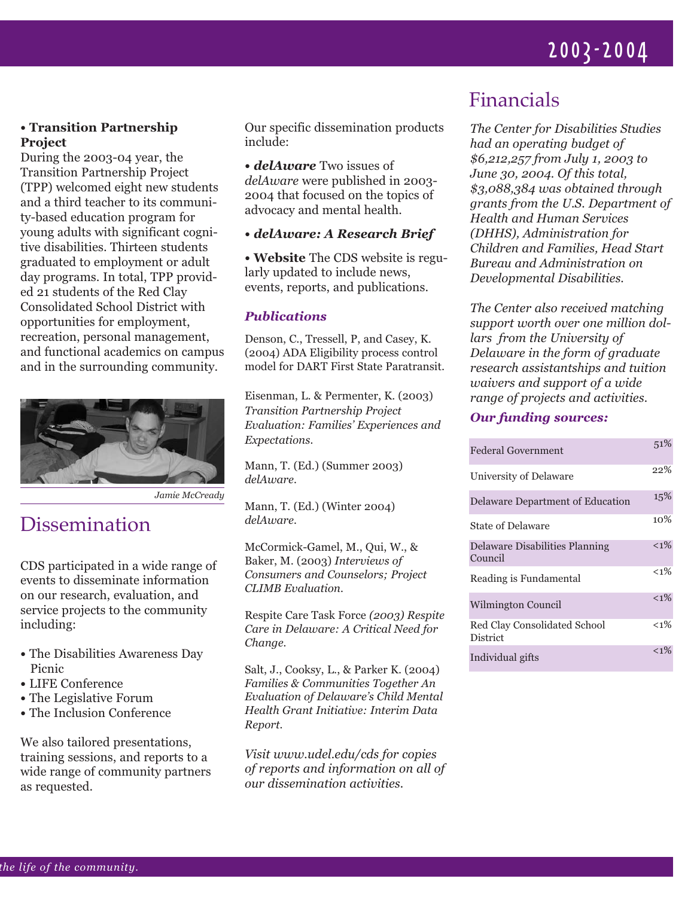## 2003-2004

#### **• Transition Partnership Project**

During the 2003-04 year, the Transition Partnership Project (TPP) welcomed eight new students and a third teacher to its community-based education program for young adults with significant cognitive disabilities. Thirteen students graduated to employment or adult day programs. In total, TPP provided 21 students of the Red Clay Consolidated School District with opportunities for employment, recreation, personal management, and functional academics on campus and in the surrounding community.



*Jamie McCready*

## Dissemination

CDS participated in a wide range of events to disseminate information on our research, evaluation, and service projects to the community including:

- The Disabilities Awareness Day Picnic
- LIFE Conference
- The Legislative Forum
- The Inclusion Conference

We also tailored presentations, training sessions, and reports to a wide range of community partners as requested.

Our specific dissemination products include:

**•** *delAware* Two issues of *delAware* were published in 2003- 2004 that focused on the topics of advocacy and mental health.

#### **•** *delAware: A Research Brief*

**• Website** The CDS website is regularly updated to include news, events, reports, and publications.

#### *Publications*

Denson, C., Tressell, P, and Casey, K. (2004) ADA Eligibility process control model for DART First State Paratransit.

Eisenman, L. & Permenter, K. (2003) *Transition Partnership Project Evaluation: Families' Experiences and Expectations.* 

Mann, T. (Ed.) (Summer 2003) *delAware.*

Mann, T. (Ed.) (Winter 2004) *delAware.* 

McCormick-Gamel, M., Qui, W., & Baker, M. (2003) *Interviews of Consumers and Counselors; Project CLIMB Evaluation.*

Respite Care Task Force *(2003) Respite Care in Delaware: A Critical Need for Change.*

Salt, J., Cooksy, L., & Parker K. (2004) *Families & Communities Together An Evaluation of Delaware's Child Mental Health Grant Initiative: Interim Data Report.*

*Visit www.udel.edu/cds for copies of reports and information on all of our dissemination activities.* 

## Financials

*The Center for Disabilities Studies had an operating budget of \$6,212,257 from July 1, 2003 to June 30, 2004. Of this total, \$3,088,384 was obtained through grants from the U.S. Department of Health and Human Services (DHHS), Administration for Children and Families, Head Start Bureau and Administration on Developmental Disabilities.* 

*The Center also received matching support worth over one million dollars from the University of Delaware in the form of graduate research assistantships and tuition waivers and support of a wide range of projects and activities.* 

#### *Our funding sources:*

| Federal Government                        | 51%     |
|-------------------------------------------|---------|
| University of Delaware                    | 22%     |
| Delaware Department of Education          | 15%     |
| State of Delaware                         | 10%     |
| Delaware Disabilities Planning<br>Council | $< 1\%$ |
| Reading is Fundamental                    | $< 1\%$ |
| Wilmington Council                        | $< 1\%$ |
| Red Clay Consolidated School<br>District  | $< 1\%$ |
| Individual gifts                          | $< 1\%$ |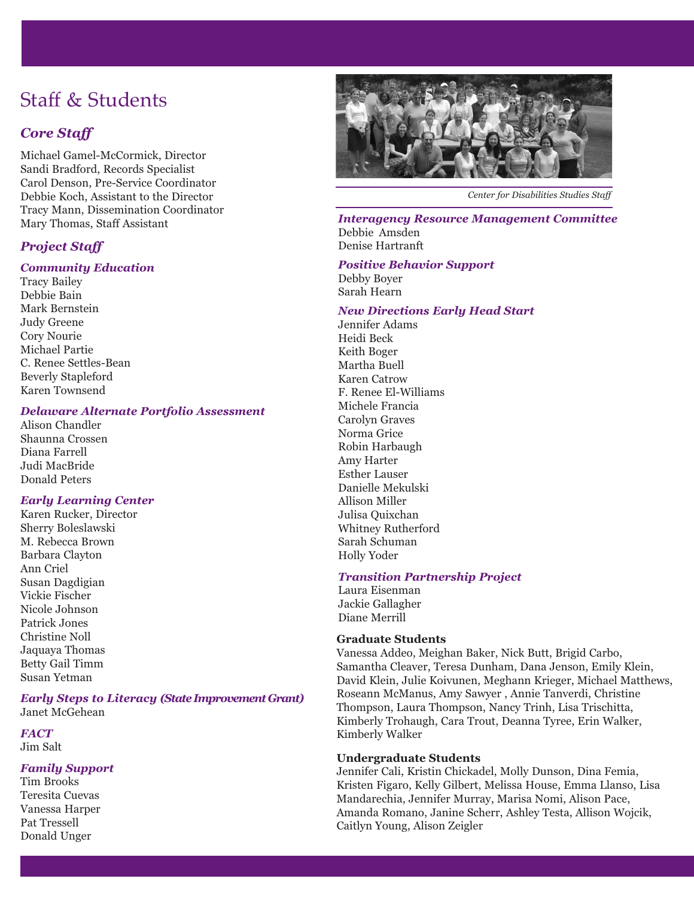## Staff & Students

#### *Core Staff*

Michael Gamel-McCormick, Director Sandi Bradford, Records Specialist Carol Denson, Pre-Service Coordinator Debbie Koch, Assistant to the Director Tracy Mann, Dissemination Coordinator Mary Thomas, Staff Assistant

#### *Project Staff*

#### *Community Education*

Tracy Bailey Debbie Bain Mark Bernstein Judy Greene Cory Nourie Michael Partie C. Renee Settles-Bean Beverly Stapleford Karen Townsend

#### *Delaware Alternate Portfolio Assessment*

Alison Chandler Shaunna Crossen Diana Farrell Judi MacBride Donald Peters

#### *Early Learning Center*

Karen Rucker, Director Sherry Boleslawski M. Rebecca Brown Barbara Clayton Ann Criel Susan Dagdigian Vickie Fischer Nicole Johnson Patrick Jones Christine Noll Jaquaya Thomas Betty Gail Timm Susan Yetman

#### *Early Steps to Literacy (State Improvement Grant)* Janet McGehean

*FACT* Jim Salt

#### *Family Support*

Tim Brooks Teresita Cuevas Vanessa Harper Pat Tressell Donald Unger



*Center for Disabilities Studies Staff*

*Interagency Resource Management Committee* Debbie Amsden Denise Hartranft

#### *Positive Behavior Support*

Debby Boyer Sarah Hearn

#### *New Directions Early Head Start*

Jennifer Adams Heidi Beck Keith Boger Martha Buell Karen Catrow F. Renee El-Williams Michele Francia Carolyn Graves Norma Grice Robin Harbaugh Amy Harter Esther Lauser Danielle Mekulski Allison Miller Julisa Quixchan Whitney Rutherford Sarah Schuman Holly Yoder

#### *Transition Partnership Project*

Laura Eisenman Jackie Gallagher Diane Merrill

#### **Graduate Students**

Vanessa Addeo, Meighan Baker, Nick Butt, Brigid Carbo, Samantha Cleaver, Teresa Dunham, Dana Jenson, Emily Klein, David Klein, Julie Koivunen, Meghann Krieger, Michael Matthews, Roseann McManus, Amy Sawyer , Annie Tanverdi, Christine Thompson, Laura Thompson, Nancy Trinh, Lisa Trischitta, Kimberly Trohaugh, Cara Trout, Deanna Tyree, Erin Walker, Kimberly Walker

#### **Undergraduate Students**

Jennifer Cali, Kristin Chickadel, Molly Dunson, Dina Femia, Kristen Figaro, Kelly Gilbert, Melissa House, Emma Llanso, Lisa Mandarechia, Jennifer Murray, Marisa Nomi, Alison Pace, Amanda Romano, Janine Scherr, Ashley Testa, Allison Wojcik, Caitlyn Young, Alison Zeigler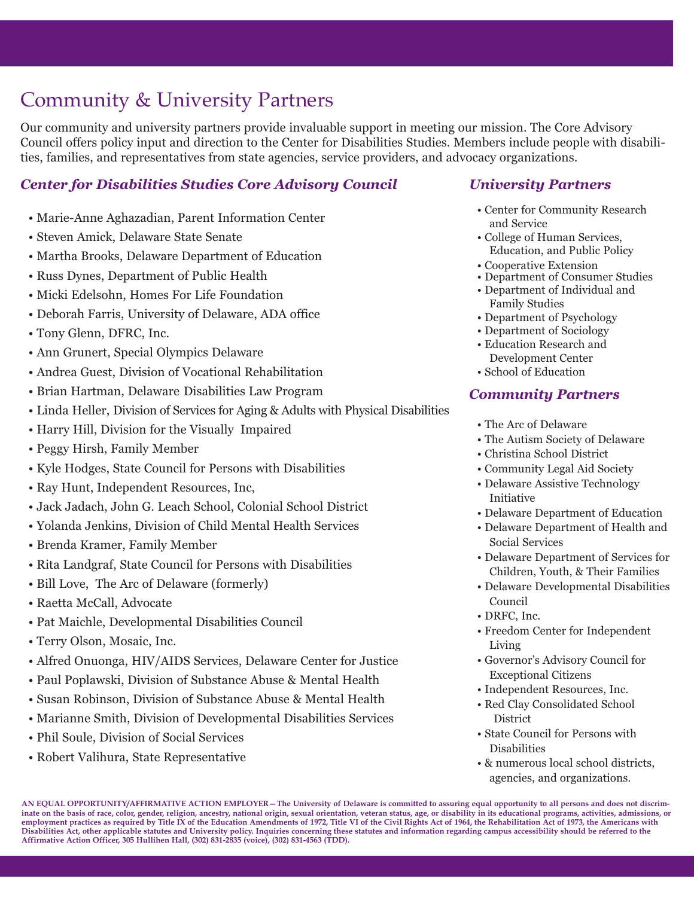## Community & University Partners

Our community and university partners provide invaluable support in meeting our mission. The Core Advisory Council offers policy input and direction to the Center for Disabilities Studies. Members include people with disabilities, families, and representatives from state agencies, service providers, and advocacy organizations.

#### *Center for Disabilities Studies Core Advisory Council*

- Marie-Anne Aghazadian, Parent Information Center
- Steven Amick, Delaware State Senate
- Martha Brooks, Delaware Department of Education
- Russ Dynes, Department of Public Health
- Micki Edelsohn, Homes For Life Foundation
- Deborah Farris, University of Delaware, ADA office
- Tony Glenn, DFRC, Inc.
- Ann Grunert, Special Olympics Delaware
- Andrea Guest, Division of Vocational Rehabilitation
- Brian Hartman, Delaware Disabilities Law Program
- Linda Heller, Division of Services for Aging & Adults with Physical Disabilities
- Harry Hill, Division for the Visually Impaired
- Peggy Hirsh, Family Member
- Kyle Hodges, State Council for Persons with Disabilities
- Ray Hunt, Independent Resources, Inc,
- Jack Jadach, John G. Leach School, Colonial School District
- Yolanda Jenkins, Division of Child Mental Health Services
- Brenda Kramer, Family Member
- Rita Landgraf, State Council for Persons with Disabilities
- Bill Love, The Arc of Delaware (formerly)
- Raetta McCall, Advocate
- Pat Maichle, Developmental Disabilities Council
- Terry Olson, Mosaic, Inc.
- Alfred Onuonga, HIV/AIDS Services, Delaware Center for Justice
- Paul Poplawski, Division of Substance Abuse & Mental Health
- Susan Robinson, Division of Substance Abuse & Mental Health
- Marianne Smith, Division of Developmental Disabilities Services
- Phil Soule, Division of Social Services
- Robert Valihura, State Representative

#### *University Partners*

- Center for Community Research and Service
- College of Human Services, Education, and Public Policy
- Cooperative Extension
- Department of Consumer Studies • Department of Individual and Family Studies
- Department of Psychology
- Department of Sociology
- Education Research and Development Center
- School of Education

#### *Community Partners*

- The Arc of Delaware
- The Autism Society of Delaware
- Christina School District
- Community Legal Aid Society
- Delaware Assistive Technology Initiative
- Delaware Department of Education
- Delaware Department of Health and Social Services
- Delaware Department of Services for Children, Youth, & Their Families
- Delaware Developmental Disabilities Council
- DRFC, Inc.
- Freedom Center for Independent Living
- Governor's Advisory Council for Exceptional Citizens
- Independent Resources, Inc.
- Red Clay Consolidated School **District**
- State Council for Persons with Disabilities
- & numerous local school districts, agencies, and organizations.

**AN EQUAL OPPORTUNITY/AFFIRMATIVE ACTION EMPLOYER—The University of Delaware is committed to assuring equal opportunity to all persons and does not discriminate on the basis of race, color, gender, religion, ancestry, national origin, sexual orientation, veteran status, age, or disability in its educational programs, activities, admissions, or employment practices as required by Title IX of the Education Amendments of 1972, Title VI of the Civil Rights Act of 1964, the Rehabilitation Act of 1973, the Americans with Disabilities Act, other applicable statutes and University policy. Inquiries concerning these statutes and information regarding campus accessibility should be referred to the Affirmative Action Officer, 305 Hullihen Hall, (302) 831-2835 (voice), (302) 831-4563 (TDD).**